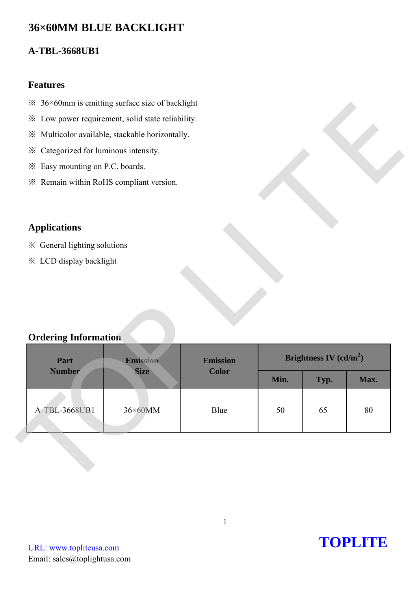# **36×60MM BLUE BACKLIGHT**

## **A-TBL-3668UB1**

#### **Features**

- $\frac{36}{8}$  36×60mm is emitting surface size of backlight
- ※ Low power requirement, solid state reliability.
- ※ Multicolor available, stackable horizontally.
- ※ Categorized for luminous intensity.
- ※ Easy mounting on P.C. boards.
- ※ Remain within RoHS compliant version.

### **Applications**

- ※ General lighting solutions
- ※ LCD display backlight

### **Ordering Information**

| 28 50×60 mm is emitting surface size of backlight |                                                   |                 |      |                          |      |
|---------------------------------------------------|---------------------------------------------------|-----------------|------|--------------------------|------|
|                                                   | * Low power requirement, solid state reliability. |                 |      |                          |      |
|                                                   | ※ Multicolor available, stackable horizontally.   |                 |      |                          |      |
| * Categorized for luminous intensity.             |                                                   |                 |      |                          |      |
| * Easy mounting on P.C. boards.                   |                                                   |                 |      |                          |      |
| * Remain within RoHS compliant version.           |                                                   |                 |      |                          |      |
|                                                   |                                                   |                 |      |                          |      |
| <b>Applications</b>                               |                                                   |                 |      |                          |      |
|                                                   |                                                   |                 |      |                          |      |
| ※ General lighting solutions                      |                                                   |                 |      |                          |      |
|                                                   |                                                   |                 |      |                          |      |
| <b>※ LCD display backlight</b>                    |                                                   |                 |      |                          |      |
|                                                   |                                                   |                 |      |                          |      |
|                                                   |                                                   |                 |      |                          |      |
| <b>Ordering Information</b><br>Part               | Emission                                          | <b>Emission</b> |      | Brightness IV $(cd/m^2)$ |      |
| <b>Number</b>                                     | <b>Size</b>                                       | <b>Color</b>    | Min. | Typ.                     | Max. |
|                                                   |                                                   |                 |      |                          |      |
| A-TBL-3668UB1                                     | 36×60MM                                           | Blue            | 50   | 65                       | 80   |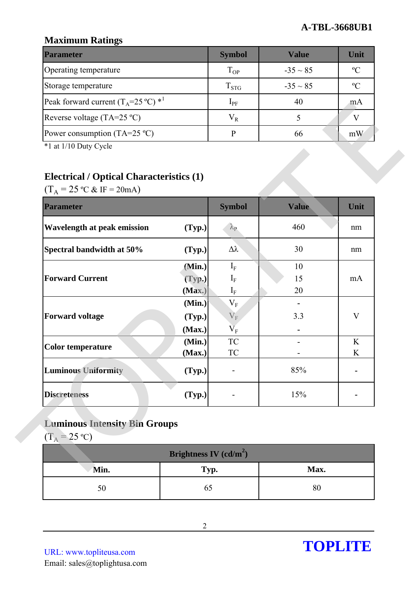### **Maximum Ratings**

| <b>Parameter</b>                                        | <b>Symbol</b> | <b>Value</b>  | Unit           |
|---------------------------------------------------------|---------------|---------------|----------------|
| Operating temperature                                   | $T_{OP}$      | $-35 \sim 85$ | $\mathcal{O}$  |
| Storage temperature                                     | $T_{STG}$     | $-35 \sim 85$ | $\mathfrak{O}$ |
| Peak forward current $(T_A=25 \degree C)$ <sup>*1</sup> | $1_{\rm PF}$  | 40            | m A            |
| Reverse voltage (TA=25 $^{\circ}$ C)                    | $\rm V_R$     |               |                |
| Power consumption (TA=25 $^{\circ}$ C)                  |               | 66            | mW             |

## **Electrical / Optical Characteristics (1)**

| Reverse voltage (TA=25 °C)                                                                               |                          | $V_R$                   | 5            | V      |
|----------------------------------------------------------------------------------------------------------|--------------------------|-------------------------|--------------|--------|
| Power consumption (TA=25 $^{\circ}$ C)<br>*1 at 1/10 Duty Cycle                                          |                          | $\mathbf{P}$            | 66           | mW     |
| <b>Electrical / Optical Characteristics (1)</b><br>$(T_A = 25 \text{ °C} \& \text{ IF} = 20 \text{ mA})$ |                          |                         |              |        |
| <b>Parameter</b>                                                                                         |                          | <b>Symbol</b>           | <b>Value</b> | Unit   |
| <b>Wavelength at peak emission</b>                                                                       | (Typ.)                   | $\lambda_{\rm P}$       | 460          | nm     |
| Spectral bandwidth at 50%                                                                                | (Typ.)                   | $\Delta \lambda$        | 30           | nm     |
|                                                                                                          | (Min.)                   | $I_F$                   | 10           |        |
| <b>Forward Current</b>                                                                                   | (Typ.)                   | $\rm I_F$               | 15           | mA     |
|                                                                                                          | (Max.)                   | $\mathbf{I}_{\rm F}$    | 20           |        |
|                                                                                                          | (Min.)                   | $\mathbf{V}_\mathrm{F}$ |              |        |
| <b>Forward voltage</b>                                                                                   | (Typ.)                   | $V_{\rm F}$             | 3.3          | V      |
|                                                                                                          | (Max.)                   | $\rm V_F$               |              |        |
| <b>Color temperature</b>                                                                                 | (Min.)<br>(Max.)         | ${\rm TC}$<br><b>TC</b> |              | K<br>K |
| <b>Luminous Uniformity</b>                                                                               | (Typ.)                   |                         | 85%          |        |
| <b>Discreteness</b>                                                                                      | (Typ.)                   |                         | 15%          |        |
| <b>Luminous Intensity Bin Groups</b><br>$(T_A = 25 \text{ °C})$                                          |                          |                         |              |        |
|                                                                                                          | Brightness IV $(cd/m^2)$ |                         |              |        |
| Min.                                                                                                     | Typ.                     |                         | Max.         |        |
|                                                                                                          |                          |                         |              |        |

## **Luminous Intensity Bin Groups**

| Brightness IV (cd/m <sup>2</sup> ) |      |      |  |  |
|------------------------------------|------|------|--|--|
| Min.                               | Typ. | Max. |  |  |
|                                    |      | ŏυ   |  |  |

URL: www.topliteusa.com Email: sales@toplightusa.com

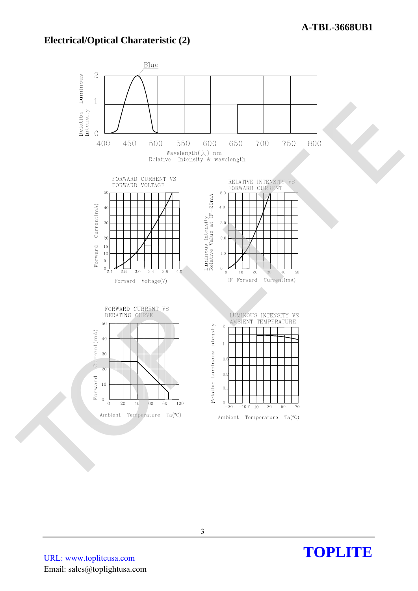### **Electrical/Optical Charateristic (2)**

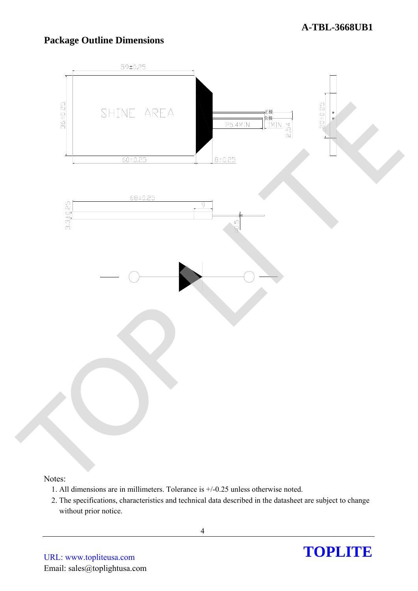### **Package Outline Dimensions**



#### Notes:

- 1. All dimensions are in millimeters. Tolerance is +/-0.25 unless otherwise noted.
- 2. The specifications, characteristics and technical data described in the datasheet are subject to change without prior notice.